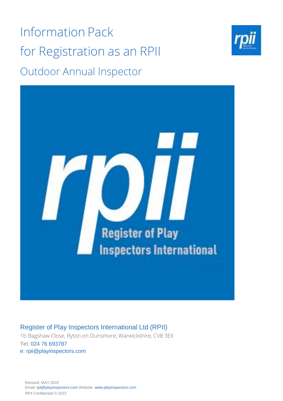Information Pack for Registration as an RPII Outdoor Annual Inspector





Register of Play Inspectors International Ltd (RPII)

1b Bagshaw Close, Ryton on Dunsmore, Warwickshire, CV8 3EX Tel: 024 76 693787 e: rpii@playinspectors.com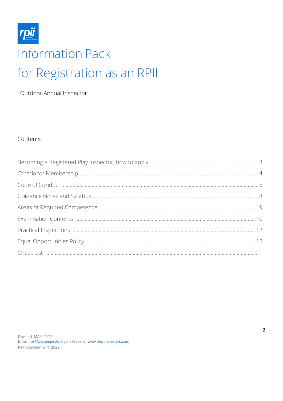

Outdoor Annual Inspector

### Contents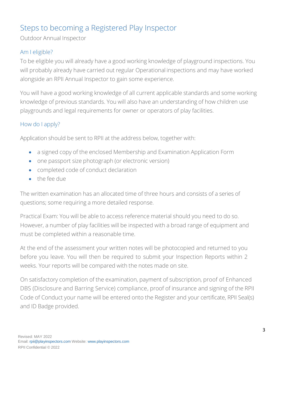# <span id="page-2-0"></span>Steps to becoming a Registered Play Inspector

Outdoor Annual Inspector

## Am I eligible?

To be eligible you will already have a good working knowledge of playground inspections. You will probably already have carried out regular Operational inspections and may have worked alongside an RPII Annual Inspector to gain some experience.

You will have a good working knowledge of all current applicable standards and some working knowledge of previous standards. You will also have an understanding of how children use playgrounds and legal requirements for owner or operators of play facilities.

## How do I apply?

Application should be sent to RPII at the address below, together with:

- a signed copy of the enclosed Membership and Examination Application Form
- one passport size photograph (or electronic version)
- completed code of conduct declaration
- the fee due

The written examination has an allocated time of three hours and consists of a series of questions; some requiring a more detailed response.

Practical Exam: You will be able to access reference material should you need to do so. However, a number of play facilities will be inspected with a broad range of equipment and must be completed within a reasonable time.

At the end of the assessment your written notes will be photocopied and returned to you before you leave. You will then be required to submit your Inspection Reports within 2 weeks. Your reports will be compared with the notes made on site.

On satisfactory completion of the examination, payment of subscription, proof of Enhanced DBS (Disclosure and Barring Service) compliance, proof of insurance and signing of the RPII Code of Conduct your name will be entered onto the Register and your certificate, RPII Seal(s) and ID Badge provided.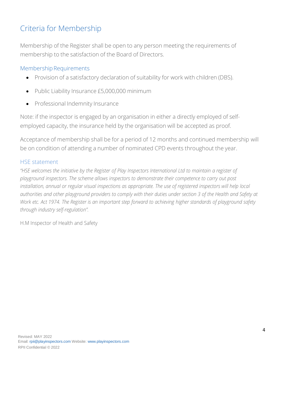## <span id="page-3-0"></span>Criteria for Membership

Membership of the Register shall be open to any person meeting the requirements of membership to the satisfaction of the Board of Directors.

### Membership Requirements

- Provision of a satisfactory declaration of suitability for work with children (DBS).
- Public Liability Insurance £5,000,000 minimum
- Professional Indemnity Insurance

Note: if the inspector is engaged by an organisation in either a directly employed of selfemployed capacity, the insurance held by the organisation will be accepted as proof.

Acceptance of membership shall be for a period of 12 months and continued membership will be on condition of attending a number of nominated CPD events throughout the year.

### HSE statement

"HSE welcomes the initiative by the Register of Play Inspectors International Ltd to maintain a register of *playground inspectors. The scheme allows inspectors to demonstrate their competence to carry out post installation, annual or regular visual inspections as appropriate. The use of registered inspectors will help local authorities and other playground providers to comply with their duties under section 3 of the Health and Safety at Work etc. Act 1974. The Register is an important step forward to achieving higher standards of playground safety through industry self-regulation".*

H.M Inspector of Health and Safety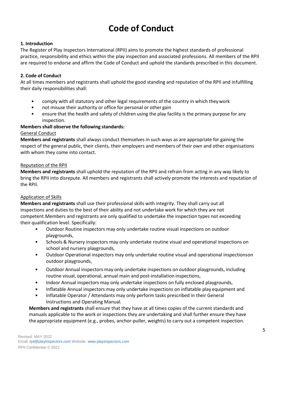# **Code of Conduct**

### <span id="page-4-0"></span>**1. Introduction**

The Register of Play Inspectors International (RPII) aims to promote the highest standards of professional practice, responsibility and ethics within the play inspection and associated professions. All members of the RPII are required to endorse and affirm the Code of Conduct and uphold the standards prescribed in this document.

### **2. Code of Conduct**

At all times members and registrants shall uphold the good standing and reputation of the RPII and infulfilling their daily responsibilities shall:

- comply with all statutory and other legal requirements of the country in which theywork
- not misuse their authority or office for personal or other gain
- ensure that the health and safety of children using the play facility is the primary purpose for any inspection.

### **Members shall observe the following standards:**

### General Conduct

**Members and registrants** shall always conduct themselves in such ways as are appropriate for gaining the respect of the general public, their clients, their employers and members of their own and other organisations with whom they come into contact.

### Reputation of the RPII

**Members and registrants** shall uphold the reputation of the RPII and refrain from acting in any way likely to bring the RPII into disrepute. All members and registrants shall actively promote the interests and reputation of the RPII.

### Application of Skills

**Members and registrants** shall use their professional skills with integrity. They shall carry out all inspections and duties to the best of their ability and not undertake work for which they are not competent.Members and registrants are only qualified to undertake the inspection types not exceeding their qualification level. Specifically:

- Outdoor Routine inspectors may only undertake routine visual inspections on outdoor playgrounds,
- Schools & Nursery inspectors may only undertake routine visual and operational inspections on school and nursery playgrounds,
- Outdoor Operational inspectors may only undertake routine visual and operational inspectionson outdoor playgrounds,
- Outdoor Annual inspectors may only undertake inspections on outdoor playgrounds, including routine visual, operational, annual main and post-installation inspections,
- Indoor Annual inspectors may only undertake inspections on fully enclosed playgrounds,
- Inflatable Annual inspectors may only undertake inspections on inflatable play equipment and
- Inflatable Operator / Attendants may only perform tasks prescribed in their General Instructions and Operating Manual.

**Members and registrants** shall ensure that they have at all times copies of the current standards and manuals applicable to the work or inspections they are undertaking and shall further ensure they have the appropriate equipment (e.g., probes, anchor-puller, weights) to carry out a competent inspection.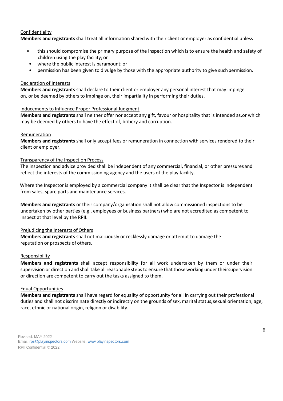### Confidentiality

**Members and registrants** shall treat all information shared with their client or employer as confidential unless

- this should compromise the primary purpose of the inspection which is to ensure the health and safety of children using the play facility; or
- where the public interest is paramount; or
- permission has been given to divulge by those with the appropriate authority to give such permission.

### Declaration of Interests

**Members and registrants** shall declare to their client or employer any personal interest that may impinge on, or be deemed by others to impinge on, their impartiality in performing their duties.

### Inducements to Influence Proper Professional Judgment

**Members and registrants** shall neither offer nor accept any gift, favour or hospitality that is intended as,or which may be deemed by others to have the effect of, bribery and corruption.

### Remuneration

**Members and registrants** shall only accept fees or remuneration in connection with services rendered to their client or employer.

### Transparency of the Inspection Process

The inspection and advice provided shall be independent of any commercial, financial, or other pressures and reflect the interests of the commissioning agency and the users of the play facility.

 Where the Inspector is employed by a commercial company it shall be clear that the Inspector is independent from sales, spare parts and maintenance services.

**Members and registrants** or their company/organisation shall not allow commissioned inspections to be undertaken by other parties (e.g., employees or business partners) who are not accredited as competent to inspect at that level by the RPII.

### Prejudicing the Interests of Others

**Members and registrants** shall not maliciously or recklessly damage or attempt to damage the reputation or prospects of others.

### **Responsibility**

**Members and registrants** shall accept responsibility for all work undertaken by them or under their supervision or direction and shall take all reasonable steps to ensure that those working under theirsupervision or direction are competent to carry out the tasks assigned to them.

### Equal Opportunities

**Members and registrants** shall have regard for equality of opportunity for all in carrying out their professional duties and shall not discriminate directly or indirectly on the grounds of sex, marital status, sexual orientation, age, race, ethnic or national origin, religion or disability.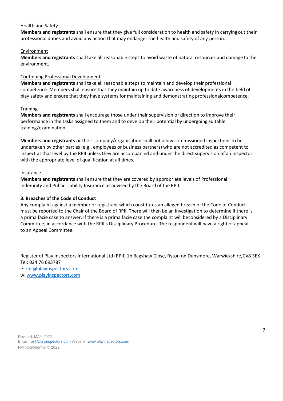### Health and Safety

**Members and registrants** shall ensure that they give full consideration to health and safety in carrying out their professional duties and avoid any action that may endanger the health and safety of any person.

### Environment

**Members and registrants** shall take all reasonable steps to avoid waste of natural resources and damage to the environment.

### Continuing Professional Development

**Members and registrants** shall take all reasonable steps to maintain and develop their professional competence. Members shall ensure that they maintain up to date awareness of developments in the field of play safety and ensure that they have systems for maintaining and demonstrating professionalcompetence.

### **Training**

**Members and registrants** shall encourage those under their supervision or direction to improve their performance in the tasks assigned to them and to develop their potential by undergoing suitable training/examination.

**Members and registrants** or their company/organisation shall not allow commissioned inspections to be undertaken by other parties (e.g., employees or business partners) who are not accredited as competent to inspect at that level by the RPII unless they are accompanied and under the direct supervision of an inspector with the appropriate level of qualification at all times.

### Insurance

**Members and registrants** shall ensure that they are covered by appropriate levels of Professional Indemnity and Public Liability Insurance as advised by the Board of the RPII.

### **3. Breaches of the Code of Conduct**

Any complaint against a member or registrant which constitutes an alleged breach of the Code of Conduct must be reported to the Chair of the Board of RPII. There will then be an investigation to determine if there is a prima facie case to answer. If there is a prima facie case the complaint will beconsidered by a Disciplinary Committee, in accordance with the RPII's Disciplinary Procedure. The respondent will have a right of appeal to an Appeal Committee.

Register of Play Inspectors International Ltd (RPII) 1b Bagshaw Close, Ryton on Dunsmore, Warwickshire,CV8 3EX Tel: 024 76 693787 e: [rpii@playinspectors.com](mailto:rpii@playinspectors.com) w: [www.playinspectors.com](http://www.playinspectors.com/)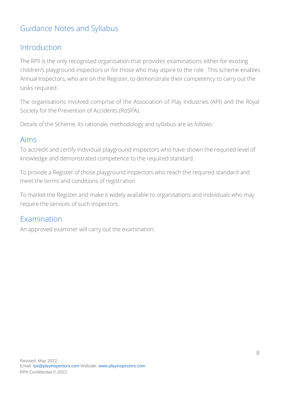## Guidance Notes and Syllabus

## Introduction

The RPII is the only recognised organisation that provides examinations either for existing children's playground inspectors or for those who may aspire to the role. This scheme enables Annual Inspectors, who are on the Register, to demonstrate their competency to carry out the tasks required.

The organisations involved comprise of the Association of Play Industries (API) and the Royal Society for the Prevention of Accidents (RoSPA).

Details of the Scheme, its rationale, methodology and syllabus are as follows:

## Aims

To accredit and certify individual playground inspectors who have shown the required level of knowledge and demonstrated competence to the required standard.

To provide a Register of those playground inspectors who reach the required standard and meet the terms and conditions of registration

To market the Register and make it widely available to organisations and individuals who may require the services of such inspectors.

## Examination

An approved examiner will carry out the examination.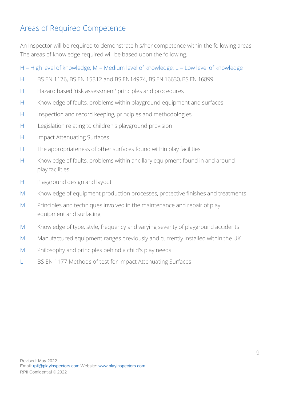## Areas of Required Competence

An Inspector will be required to demonstrate his/her competence within the following areas. The areas of knowledge required will be based upon the following.

H = High level of knowledge;  $M$  = Medium level of knowledge;  $L$  = Low level of knowledge

- H BS EN 1176, BS EN 15312 and BS EN14974, BS EN 16630, BS EN 16899.
- H Hazard based 'risk assessment' principles and procedures
- H Knowledge of faults, problems within playground equipment and surfaces
- H Inspection and record keeping, principles and methodologies
- H Legislation relating to children's playground provision
- H Impact Attenuating Surfaces
- H The appropriateness of other surfaces found within play facilities
- H Knowledge of faults, problems within ancillary equipment found in and around play facilities
- H Playground design and layout
- M Knowledge of equipment production processes, protective finishes and treatments
- M Principles and techniques involved in the maintenance and repair of play equipment and surfacing
- M Knowledge of type, style, frequency and varying severity of playground accidents
- M Manufactured equipment ranges previously and currently installed within the UK
- M Philosophy and principles behind a child's play needs
- <span id="page-8-0"></span>L BS EN 1177 Methods of test for Impact Attenuating Surfaces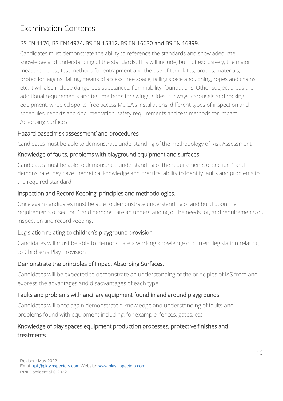# Examination Contents

## BS EN 1176, BS EN14974, BS EN 15312, BS EN 16630 and BS EN 16899.

Candidates must demonstrate the ability to reference the standards and show adequate knowledge and understanding of the standards. This will include, but not exclusively, the major measurements., test methods for entrapment and the use of templates, probes, materials, protection against falling, means of access, free space, falling space and zoning, ropes and chains, etc. It will also include dangerous substances, flammability, foundations. Other subject areas are: additional requirements and test methods for swings, slides, runways, carousels and rocking equipment, wheeled sports, free access MUGA's installations, different types of inspection and schedules, reports and documentation, safety requirements and test methods for Impact Absorbing Surfaces

## Hazard based 'risk assessment' and procedures

Candidates must be able to demonstrate understanding of the methodology of Risk Assessment

## Knowledge of faults, problems with playground equipment and surfaces

Candidates must be able to demonstrate understanding of the requirements of section 1.and demonstrate they have theoretical knowledge and practical ability to identify faults and problems to the required standard.

## Inspection and Record Keeping, principles and methodologies.

Once again candidates must be able to demonstrate understanding of and build upon the requirements of section 1 and demonstrate an understanding of the needs for, and requirements of, inspection and record keeping.

## Legislation relating to children's playground provision

Candidates will must be able to demonstrate a working knowledge of current legislation relating to Children's Play Provision

## Demonstrate the principles of Impact Absorbing Surfaces.

Candidates will be expected to demonstrate an understanding of the principles of IAS from and express the advantages and disadvantages of each type.

## Faults and problems with ancillary equipment found in and around playgrounds

Candidates will once again demonstrate a knowledge and understanding of faults and problems found with equipment including, for example, fences, gates, etc.

## Knowledge of play spaces equipment production processes, protective finishes and treatments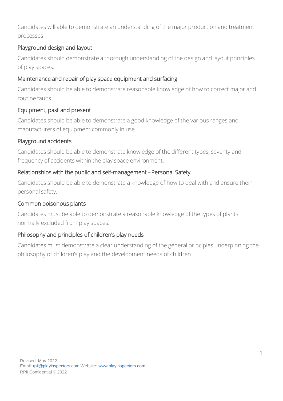Candidates will able to demonstrate an understanding of the major production and treatment processes

## Playground design and layout

Candidates should demonstrate a thorough understanding of the design and layout principles of play spaces.

## Maintenance and repair of play space equipment and surfacing

Candidates should be able to demonstrate reasonable knowledge of how to correct major and routine faults.

## Equipment, past and present

Candidates should be able to demonstrate a good knowledge of the various ranges and manufacturers of equipment commonly in use.

## Playground accidents

Candidates should be able to demonstrate knowledge of the different types, severity and frequency of accidents within the play space environment.

## Relationships with the public and self-management - Personal Safety

Candidates should be able to demonstrate a knowledge of how to deal with and ensure their personal safety.

## Common poisonous plants

Candidates must be able to demonstrate a reasonable knowledge of the types of plants normally excluded from play spaces.

## Philosophy and principles of children's play needs

<span id="page-10-0"></span>Candidates must demonstrate a clear understanding of the general principles underpinning the philosophy of children's play and the development needs of children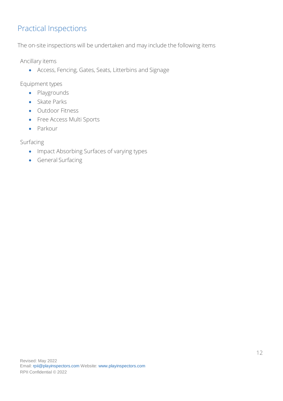## Practical Inspections

The on-site inspections will be undertaken and may include the following items

Ancillary items

• Access, Fencing, Gates, Seats, Litterbins and Signage

Equipment types

- Playgrounds
- Skate Parks
- Outdoor Fitness
- Free Access Multi Sports
- Parkour

Surfacing

- Impact Absorbing Surfaces of varying types
- General Surfacing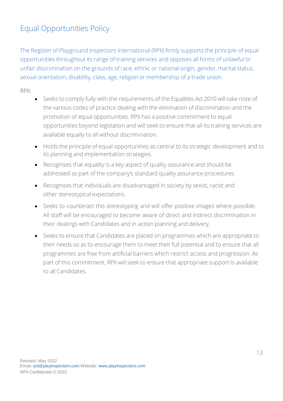# <span id="page-12-0"></span>Equal Opportunities Policy

The Register of Playground Inspectors International (RPII) firmly supports the principle of equal opportunities throughout its range of training services and opposes all forms of unlawful or unfair discrimination on the grounds of race, ethnic or national origin, gender, marital status, sexual orientation, disability, class, age, religion or membership of a trade union.

## RPII:

- Seeks to comply fully with the requirements of the Equalities Act 2010 will take note of the various codes of practice dealing with the elimination of discrimination and the promotion of equal opportunities. RPII has a positive commitment to equal opportunities beyond legislation and will seek to ensure that all its training services are available equally to all without discrimination.
- Holds the principle of equal opportunities as central to its strategic development and to its planning and implementation strategies.
- Recognises that equality is a key aspect of quality assurance and should be addressed as part of the company's standard quality assurance procedures.
- Recognises that individuals are disadvantaged in society by sexist, racist and other stereotypical expectations.
- Seeks to counteract this stereotyping and will offer positive images where possible. All staff will be encouraged to become aware of direct and indirect discrimination in their dealings with Candidates and in action planning and delivery.
- Seeks to ensure that Candidates are placed on programmes which are appropriate to their needs so as to encourage them to meet their full potential and to ensure that all programmes are free from artificial barriers which restrict access and progression. As part of this commitment, RPII will seek to ensure that appropriate support is available to all Candidates.